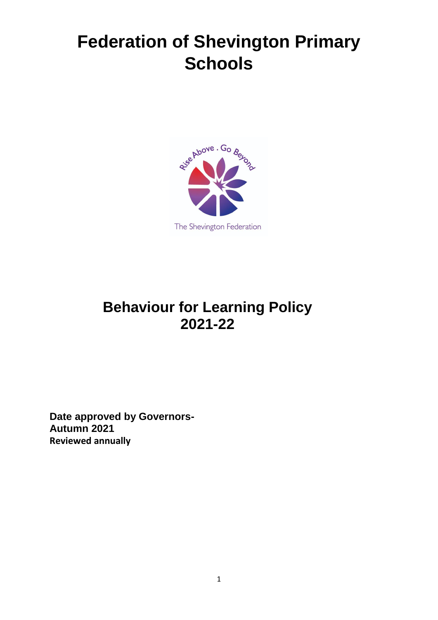# **Federation of Shevington Primary Schools**



# **Behaviour for Learning Policy 2021-22**

**Date approved by Governors-Autumn 2021 Reviewed annually**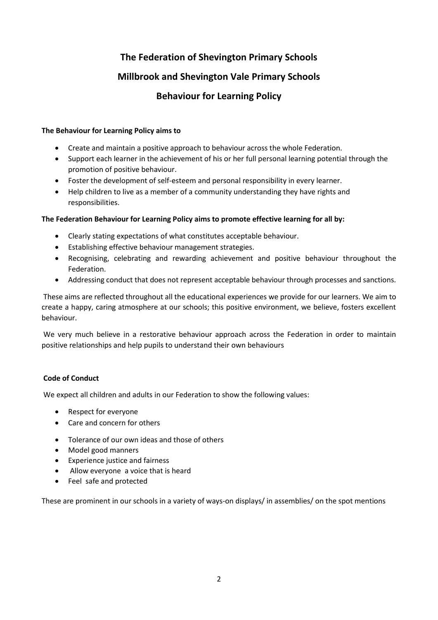# **The Federation of Shevington Primary Schools**

### **Millbrook and Shevington Vale Primary Schools**

## **Behaviour for Learning Policy**

#### **The Behaviour for Learning Policy aims to**

- Create and maintain a positive approach to behaviour across the whole Federation.
- Support each learner in the achievement of his or her full personal learning potential through the promotion of positive behaviour.
- Foster the development of self-esteem and personal responsibility in every learner.
- Help children to live as a member of a community understanding they have rights and responsibilities.

#### **The Federation Behaviour for Learning Policy aims to promote effective learning for all by:**

- Clearly stating expectations of what constitutes acceptable behaviour.
- Establishing effective behaviour management strategies.
- Recognising, celebrating and rewarding achievement and positive behaviour throughout the Federation.
- Addressing conduct that does not represent acceptable behaviour through processes and sanctions.

These aims are reflected throughout all the educational experiences we provide for our learners. We aim to create a happy, caring atmosphere at our schools; this positive environment, we believe, fosters excellent behaviour.

We very much believe in a restorative behaviour approach across the Federation in order to maintain positive relationships and help pupils to understand their own behaviours

#### **Code of Conduct**

We expect all children and adults in our Federation to show the following values:

- Respect for everyone
- Care and concern for others
- Tolerance of our own ideas and those of others
- Model good manners
- Experience justice and fairness
- Allow everyone a voice that is heard
- Feel safe and protected

These are prominent in our schools in a variety of ways-on displays/ in assemblies/ on the spot mentions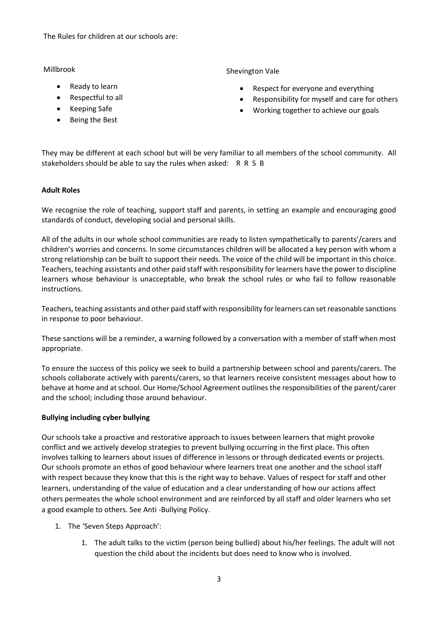The Rules for children at our schools are:

Millbrook

- Ready to learn
- Respectful to all
- Keeping Safe
- Being the Best

Shevington Vale

- Respect for everyone and everything
- Responsibility for myself and care for others
- Working together to achieve our goals

They may be different at each school but will be very familiar to all members of the school community. All stakeholders should be able to say the rules when asked: R R S B

#### **Adult Roles**

We recognise the role of teaching, support staff and parents, in setting an example and encouraging good standards of conduct, developing social and personal skills.

All of the adults in our whole school communities are ready to listen sympathetically to parents'/carers and children's worries and concerns. In some circumstances children will be allocated a key person with whom a strong relationship can be built to support their needs. The voice of the child will be important in this choice. Teachers, teaching assistants and other paid staff with responsibility for learners have the power to discipline learners whose behaviour is unacceptable, who break the school rules or who fail to follow reasonable instructions.

Teachers, teaching assistants and other paid staff with responsibility for learners can set reasonable sanctions in response to poor behaviour.

These sanctions will be a reminder, a warning followed by a conversation with a member of staff when most appropriate.

To ensure the success of this policy we seek to build a partnership between school and parents/carers. The schools collaborate actively with parents/carers, so that learners receive consistent messages about how to behave at home and at school. Our Home/School Agreement outlines the responsibilities of the parent/carer and the school; including those around behaviour.

#### **Bullying including cyber bullying**

Our schools take a proactive and restorative approach to issues between learners that might provoke conflict and we actively develop strategies to prevent bullying occurring in the first place. This often involves talking to learners about issues of difference in lessons or through dedicated events or projects. Our schools promote an ethos of good behaviour where learners treat one another and the school staff with respect because they know that this is the right way to behave. Values of respect for staff and other learners, understanding of the value of education and a clear understanding of how our actions affect others permeates the whole school environment and are reinforced by all staff and older learners who set a good example to others. See Anti -Bullying Policy.

- 1. The 'Seven Steps Approach':
	- 1. The adult talks to the victim (person being bullied) about his/her feelings. The adult will not question the child about the incidents but does need to know who is involved.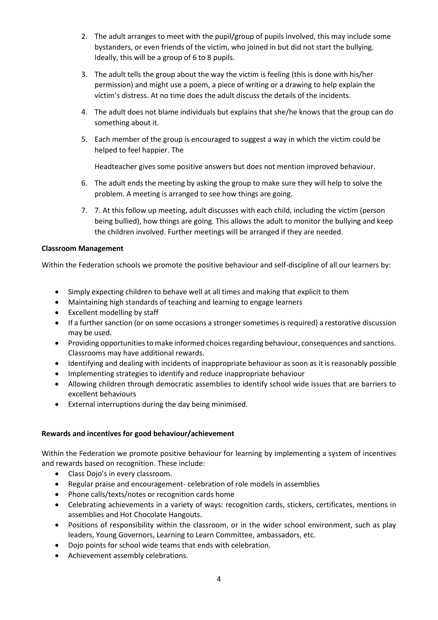- 2. The adult arranges to meet with the pupil/group of pupils involved, this may include some bystanders, or even friends of the victim, who joined in but did not start the bullying. Ideally, this will be a group of 6 to 8 pupils.
- 3. The adult tells the group about the way the victim is feeling (this is done with his/her permission) and might use a poem, a piece of writing or a drawing to help explain the victim's distress. At no time does the adult discuss the details of the incidents.
- 4. The adult does not blame individuals but explains that she/he knows that the group can do something about it.
- 5. Each member of the group is encouraged to suggest a way in which the victim could be helped to feel happier. The

Headteacher gives some positive answers but does not mention improved behaviour.

- 6. The adult ends the meeting by asking the group to make sure they will help to solve the problem. A meeting is arranged to see how things are going.
- 7. 7. At this follow up meeting, adult discusses with each child, including the victim (person being bullied), how things are going. This allows the adult to monitor the bullying and keep the children involved. Further meetings will be arranged if they are needed.

#### **Classroom Management**

Within the Federation schools we promote the positive behaviour and self-discipline of all our learners by:

- Simply expecting children to behave well at all times and making that explicit to them
- Maintaining high standards of teaching and learning to engage learners
- Excellent modelling by staff
- If a further sanction (or on some occasions a stronger sometimes is required) a restorative discussion may be used.
- Providing opportunities to make informed choices regarding behaviour, consequences and sanctions. Classrooms may have additional rewards.
- Identifying and dealing with incidents of inappropriate behaviour as soon as it is reasonably possible
- Implementing strategies to identify and reduce inappropriate behaviour
- Allowing children through democratic assemblies to identify school wide issues that are barriers to excellent behaviours
- External interruptions during the day being minimised.

#### **Rewards and incentives for good behaviour/achievement**

Within the Federation we promote positive behaviour for learning by implementing a system of incentives and rewards based on recognition. These include:

- Class Dojo's in every classroom.
- Regular praise and encouragement- celebration of role models in assemblies
- Phone calls/texts/notes or recognition cards home
- Celebrating achievements in a variety of ways: recognition cards, stickers, certificates, mentions in assemblies and Hot Chocolate Hangouts.
- Positions of responsibility within the classroom, or in the wider school environment, such as play leaders, Young Governors, Learning to Learn Committee, ambassadors, etc.
- Dojo points for school wide teams that ends with celebration.
- Achievement assembly celebrations.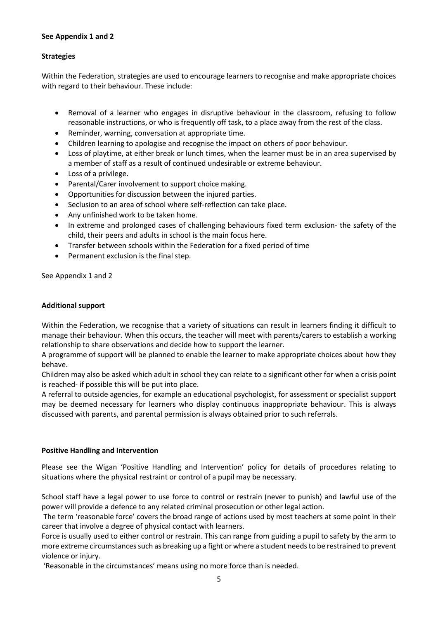#### **See Appendix 1 and 2**

#### **Strategies**

Within the Federation, strategies are used to encourage learners to recognise and make appropriate choices with regard to their behaviour. These include:

- Removal of a learner who engages in disruptive behaviour in the classroom, refusing to follow reasonable instructions, or who is frequently off task, to a place away from the rest of the class.
- Reminder, warning, conversation at appropriate time.
- Children learning to apologise and recognise the impact on others of poor behaviour.
- Loss of playtime, at either break or lunch times, when the learner must be in an area supervised by a member of staff as a result of continued undesirable or extreme behaviour.
- Loss of a privilege.
- Parental/Carer involvement to support choice making.
- Opportunities for discussion between the injured parties.
- Seclusion to an area of school where self-reflection can take place.
- Any unfinished work to be taken home.
- In extreme and prolonged cases of challenging behaviours fixed term exclusion- the safety of the child, their peers and adults in school is the main focus here.
- Transfer between schools within the Federation for a fixed period of time
- Permanent exclusion is the final step.

See Appendix 1 and 2

#### **Additional support**

Within the Federation, we recognise that a variety of situations can result in learners finding it difficult to manage their behaviour. When this occurs, the teacher will meet with parents/carers to establish a working relationship to share observations and decide how to support the learner.

A programme of support will be planned to enable the learner to make appropriate choices about how they behave.

Children may also be asked which adult in school they can relate to a significant other for when a crisis point is reached- if possible this will be put into place.

A referral to outside agencies, for example an educational psychologist, for assessment or specialist support may be deemed necessary for learners who display continuous inappropriate behaviour. This is always discussed with parents, and parental permission is always obtained prior to such referrals.

#### **Positive Handling and Intervention**

Please see the Wigan 'Positive Handling and Intervention' policy for details of procedures relating to situations where the physical restraint or control of a pupil may be necessary.

School staff have a legal power to use force to control or restrain (never to punish) and lawful use of the power will provide a defence to any related criminal prosecution or other legal action.

The term 'reasonable force' covers the broad range of actions used by most teachers at some point in their career that involve a degree of physical contact with learners.

Force is usually used to either control or restrain. This can range from guiding a pupil to safety by the arm to more extreme circumstances such as breaking up a fight or where a student needs to be restrained to prevent violence or injury.

'Reasonable in the circumstances' means using no more force than is needed.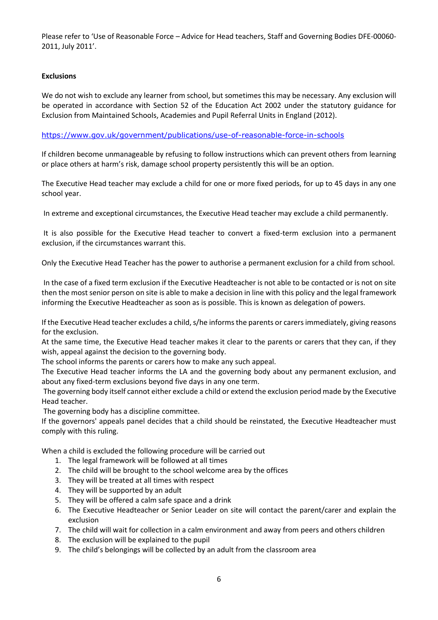Please refer to 'Use of Reasonable Force – Advice for Head teachers, Staff and Governing Bodies DFE-00060- 2011, July 2011'.

#### **Exclusions**

We do not wish to exclude any learner from school, but sometimes this may be necessary. Any exclusion will be operated in accordance with Section 52 of the Education Act 2002 under the statutory guidance for Exclusion from Maintained Schools, Academies and Pupil Referral Units in England (2012).

#### <https://www.gov.uk/government/publications/use-of-reasonable-force-in-schools>

If children become unmanageable by refusing to follow instructions which can prevent others from learning or place others at harm's risk, damage school property persistently this will be an option.

The Executive Head teacher may exclude a child for one or more fixed periods, for up to 45 days in any one school year.

In extreme and exceptional circumstances, the Executive Head teacher may exclude a child permanently.

It is also possible for the Executive Head teacher to convert a fixed-term exclusion into a permanent exclusion, if the circumstances warrant this.

Only the Executive Head Teacher has the power to authorise a permanent exclusion for a child from school.

In the case of a fixed term exclusion if the Executive Headteacher is not able to be contacted or is not on site then the most senior person on site is able to make a decision in line with this policy and the legal framework informing the Executive Headteacher as soon as is possible. This is known as delegation of powers.

If the Executive Head teacher excludes a child, s/he informs the parents or carers immediately, giving reasons for the exclusion.

At the same time, the Executive Head teacher makes it clear to the parents or carers that they can, if they wish, appeal against the decision to the governing body.

The school informs the parents or carers how to make any such appeal.

The Executive Head teacher informs the LA and the governing body about any permanent exclusion, and about any fixed-term exclusions beyond five days in any one term.

The governing body itself cannot either exclude a child or extend the exclusion period made by the Executive Head teacher.

The governing body has a discipline committee.

If the governors' appeals panel decides that a child should be reinstated, the Executive Headteacher must comply with this ruling.

When a child is excluded the following procedure will be carried out

- 1. The legal framework will be followed at all times
- 2. The child will be brought to the school welcome area by the offices
- 3. They will be treated at all times with respect
- 4. They will be supported by an adult
- 5. They will be offered a calm safe space and a drink
- 6. The Executive Headteacher or Senior Leader on site will contact the parent/carer and explain the exclusion
- 7. The child will wait for collection in a calm environment and away from peers and others children
- 8. The exclusion will be explained to the pupil
- 9. The child's belongings will be collected by an adult from the classroom area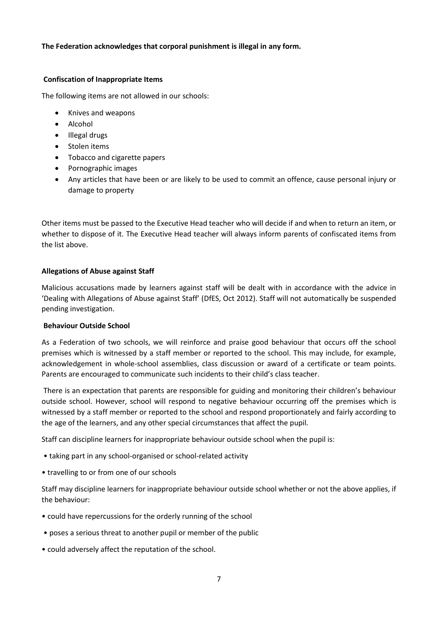#### **The Federation acknowledges that corporal punishment is illegal in any form.**

#### **Confiscation of Inappropriate Items**

The following items are not allowed in our schools:

- Knives and weapons
- Alcohol
- Illegal drugs
- Stolen items
- Tobacco and cigarette papers
- Pornographic images
- Any articles that have been or are likely to be used to commit an offence, cause personal injury or damage to property

Other items must be passed to the Executive Head teacher who will decide if and when to return an item, or whether to dispose of it. The Executive Head teacher will always inform parents of confiscated items from the list above.

#### **Allegations of Abuse against Staff**

Malicious accusations made by learners against staff will be dealt with in accordance with the advice in 'Dealing with Allegations of Abuse against Staff' (DfES, Oct 2012). Staff will not automatically be suspended pending investigation.

#### **Behaviour Outside School**

As a Federation of two schools, we will reinforce and praise good behaviour that occurs off the school premises which is witnessed by a staff member or reported to the school. This may include, for example, acknowledgement in whole-school assemblies, class discussion or award of a certificate or team points. Parents are encouraged to communicate such incidents to their child's class teacher.

There is an expectation that parents are responsible for guiding and monitoring their children's behaviour outside school. However, school will respond to negative behaviour occurring off the premises which is witnessed by a staff member or reported to the school and respond proportionately and fairly according to the age of the learners, and any other special circumstances that affect the pupil.

Staff can discipline learners for inappropriate behaviour outside school when the pupil is:

- taking part in any school-organised or school-related activity
- travelling to or from one of our schools

Staff may discipline learners for inappropriate behaviour outside school whether or not the above applies, if the behaviour:

- could have repercussions for the orderly running of the school
- poses a serious threat to another pupil or member of the public
- could adversely affect the reputation of the school.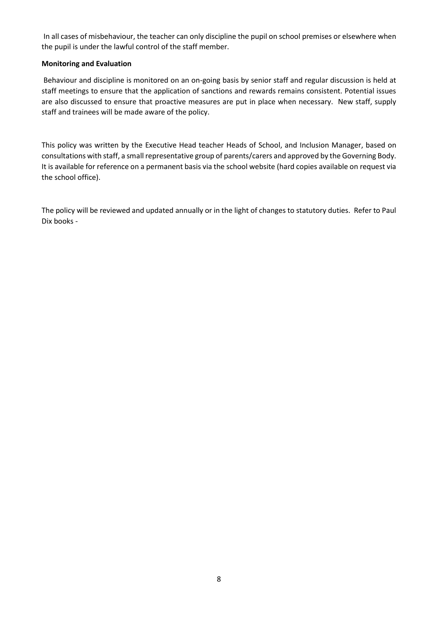In all cases of misbehaviour, the teacher can only discipline the pupil on school premises or elsewhere when the pupil is under the lawful control of the staff member.

#### **Monitoring and Evaluation**

Behaviour and discipline is monitored on an on-going basis by senior staff and regular discussion is held at staff meetings to ensure that the application of sanctions and rewards remains consistent. Potential issues are also discussed to ensure that proactive measures are put in place when necessary. New staff, supply staff and trainees will be made aware of the policy.

This policy was written by the Executive Head teacher Heads of School, and Inclusion Manager, based on consultations with staff, a small representative group of parents/carers and approved by the Governing Body. It is available for reference on a permanent basis via the school website (hard copies available on request via the school office).

The policy will be reviewed and updated annually or in the light of changes to statutory duties. Refer to Paul Dix books -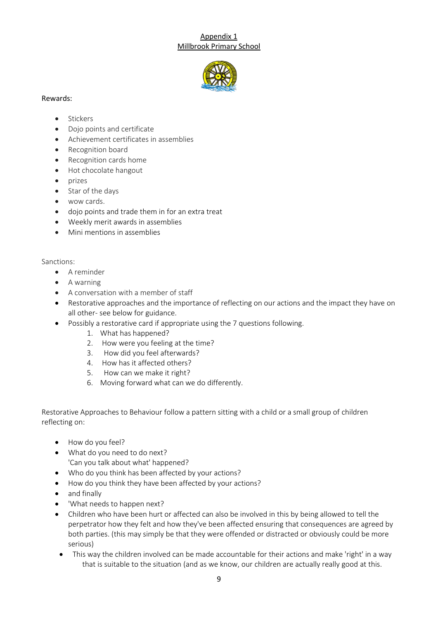#### Appendix 1 Millbrook Primary School



#### Rewards:

#### • Stickers

- Dojo points and certificate
- Achievement certificates in assemblies
- Recognition board
- Recognition cards home
- Hot chocolate hangout
- $\bullet$  prizes
- Star of the days
- wow cards.
- dojo points and trade them in for an extra treat
- Weekly merit awards in assemblies
- Mini mentions in assemblies

#### Sanctions:

- A reminder
- A warning
- A conversation with a member of staff
- Restorative approaches and the importance of reflecting on our actions and the impact they have on all other- see below for guidance.
- Possibly a restorative card if appropriate using the 7 questions following.
	- 1. What has happened?
	- 2. How were you feeling at the time?
	- 3. How did you feel afterwards?
	- 4. How has it affected others?
	- 5. How can we make it right?
	- 6. Moving forward what can we do differently.

Restorative Approaches to Behaviour follow a pattern sitting with a child or a small group of children reflecting on:

- How do you feel?
- What do you need to do next? 'Can you talk about what' happened?
- Who do you think has been affected by your actions?
- How do you think they have been affected by your actions?
- and finally
- 'What needs to happen next?
- Children who have been hurt or affected can also be involved in this by being allowed to tell the perpetrator how they felt and how they've been affected ensuring that consequences are agreed by both parties. (this may simply be that they were offended or distracted or obviously could be more serious)
	- This way the children involved can be made accountable for their actions and make 'right' in a way that is suitable to the situation (and as we know, our children are actually really good at this.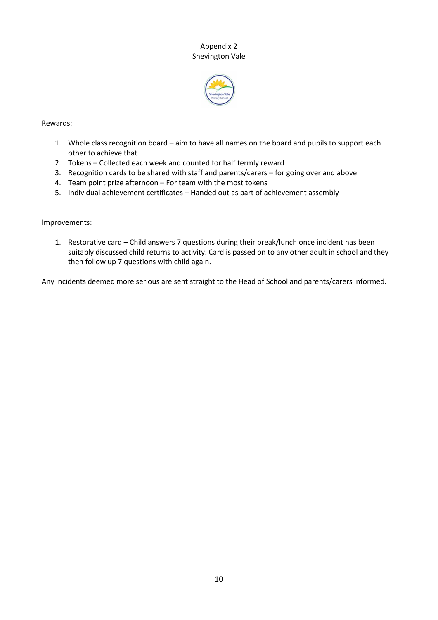#### Appendix 2 Shevington Vale



#### Rewards:

- 1. Whole class recognition board aim to have all names on the board and pupils to support each other to achieve that
- 2. Tokens Collected each week and counted for half termly reward
- 3. Recognition cards to be shared with staff and parents/carers for going over and above
- 4. Team point prize afternoon For team with the most tokens
- 5. Individual achievement certificates Handed out as part of achievement assembly

#### Improvements:

1. Restorative card – Child answers 7 questions during their break/lunch once incident has been suitably discussed child returns to activity. Card is passed on to any other adult in school and they then follow up 7 questions with child again.

Any incidents deemed more serious are sent straight to the Head of School and parents/carers informed.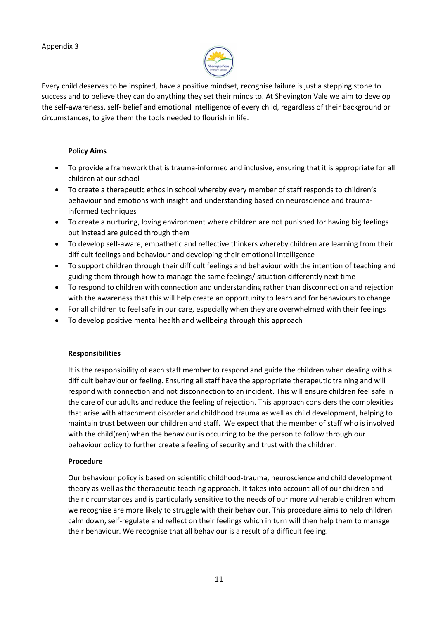

Every child deserves to be inspired, have a positive mindset, recognise failure is just a stepping stone to success and to believe they can do anything they set their minds to. At Shevington Vale we aim to develop the self-awareness, self- belief and emotional intelligence of every child, regardless of their background or circumstances, to give them the tools needed to flourish in life.

#### **Policy Aims**

- To provide a framework that is trauma-informed and inclusive, ensuring that it is appropriate for all children at our school
- To create a therapeutic ethos in school whereby every member of staff responds to children's behaviour and emotions with insight and understanding based on neuroscience and traumainformed techniques
- To create a nurturing, loving environment where children are not punished for having big feelings but instead are guided through them
- To develop self-aware, empathetic and reflective thinkers whereby children are learning from their difficult feelings and behaviour and developing their emotional intelligence
- To support children through their difficult feelings and behaviour with the intention of teaching and guiding them through how to manage the same feelings/ situation differently next time
- To respond to children with connection and understanding rather than disconnection and rejection with the awareness that this will help create an opportunity to learn and for behaviours to change
- For all children to feel safe in our care, especially when they are overwhelmed with their feelings
- To develop positive mental health and wellbeing through this approach

#### **Responsibilities**

It is the responsibility of each staff member to respond and guide the children when dealing with a difficult behaviour or feeling. Ensuring all staff have the appropriate therapeutic training and will respond with connection and not disconnection to an incident. This will ensure children feel safe in the care of our adults and reduce the feeling of rejection. This approach considers the complexities that arise with attachment disorder and childhood trauma as well as child development, helping to maintain trust between our children and staff. We expect that the member of staff who is involved with the child(ren) when the behaviour is occurring to be the person to follow through our behaviour policy to further create a feeling of security and trust with the children.

#### **Procedure**

Our behaviour policy is based on scientific childhood-trauma, neuroscience and child development theory as well as the therapeutic teaching approach. It takes into account all of our children and their circumstances and is particularly sensitive to the needs of our more vulnerable children whom we recognise are more likely to struggle with their behaviour. This procedure aims to help children calm down, self-regulate and reflect on their feelings which in turn will then help them to manage their behaviour. We recognise that all behaviour is a result of a difficult feeling.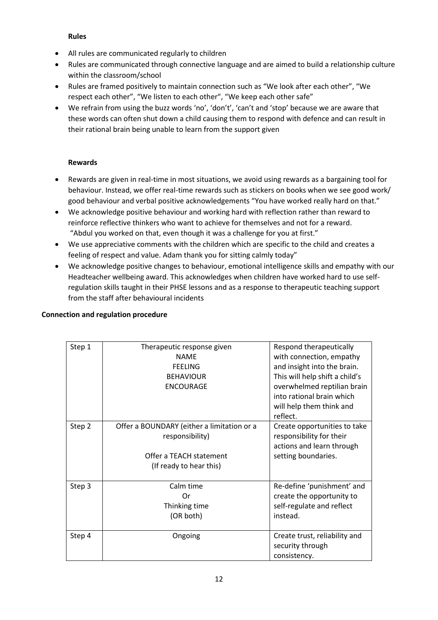#### **Rules**

- All rules are communicated regularly to children
- Rules are communicated through connective language and are aimed to build a relationship culture within the classroom/school
- Rules are framed positively to maintain connection such as "We look after each other", "We respect each other", "We listen to each other", "We keep each other safe"
- We refrain from using the buzz words 'no', 'don't', 'can't and 'stop' because we are aware that these words can often shut down a child causing them to respond with defence and can result in their rational brain being unable to learn from the support given

#### **Rewards**

- Rewards are given in real-time in most situations, we avoid using rewards as a bargaining tool for behaviour. Instead, we offer real-time rewards such as stickers on books when we see good work/ good behaviour and verbal positive acknowledgements "You have worked really hard on that."
- We acknowledge positive behaviour and working hard with reflection rather than reward to reinforce reflective thinkers who want to achieve for themselves and not for a reward. "Abdul you worked on that, even though it was a challenge for you at first."
- We use appreciative comments with the children which are specific to the child and creates a feeling of respect and value. Adam thank you for sitting calmly today"
- We acknowledge positive changes to behaviour, emotional intelligence skills and empathy with our Headteacher wellbeing award. This acknowledges when children have worked hard to use selfregulation skills taught in their PHSE lessons and as a response to therapeutic teaching support from the staff after behavioural incidents

#### **Connection and regulation procedure**

| Step 1 | Therapeutic response given<br><b>NAME</b><br><b>FEELING</b><br><b>BEHAVIOUR</b><br><b>ENCOURAGE</b>                 | Respond therapeutically<br>with connection, empathy<br>and insight into the brain.<br>This will help shift a child's<br>overwhelmed reptilian brain<br>into rational brain which<br>will help them think and<br>reflect. |
|--------|---------------------------------------------------------------------------------------------------------------------|--------------------------------------------------------------------------------------------------------------------------------------------------------------------------------------------------------------------------|
| Step 2 | Offer a BOUNDARY (either a limitation or a<br>responsibility)<br>Offer a TEACH statement<br>(If ready to hear this) | Create opportunities to take<br>responsibility for their<br>actions and learn through<br>setting boundaries.                                                                                                             |
| Step 3 | Calm time<br>Ωr<br>Thinking time<br>(OR both)                                                                       | Re-define 'punishment' and<br>create the opportunity to<br>self-regulate and reflect<br>instead.                                                                                                                         |
| Step 4 | Ongoing                                                                                                             | Create trust, reliability and<br>security through<br>consistency.                                                                                                                                                        |